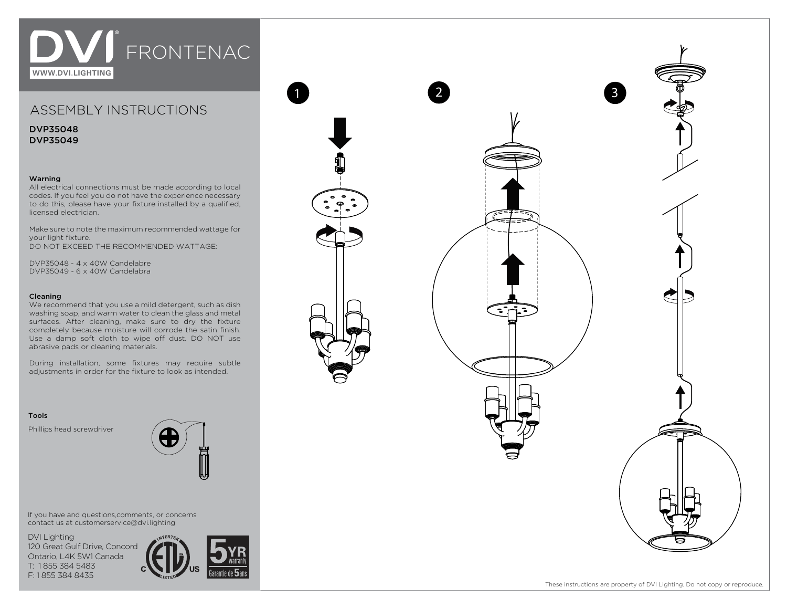# WI<sup>FRONTENAC</sup> WWW.DVI.LIGHTING

## ASSEMBLY INSTRUCTIONS

DVP35048 DVP35049

### Warning

All electrical connections must be made according to local codes. If you feel you do not have the experience necessary to do this, please have your fixture installed by a qualified, licensed electrician.

Make sure to note the maximum recommended wattage for your light fixture. DO NOT EXCEED THE RECOMMENDED WATTAGE:

DVP35048 - 4 x 40W Candelabre DVP35049 - 6 x 40W Candelabra

#### Cleaning

We recommend that you use a mild detergent, such as dish washing soap, and warm water to clean the glass and metal surfaces. After cleaning, make sure to dry the fixture completely because moisture will corrode the satin finish. Use a damp soft cloth to wipe off dust. DO NOT use abrasive pads or cleaning materials.

During installation, some fixtures may require subtle adjustments in order for the fixture to look as intended.

#### Tools

Phillips head screwdriver



If you have and questions,comments, or concerns contact us at customerservice@dvi.lighting

DVI Lighting 120 Great Gulf Drive, Concord Ontario, L4K 5W1 Canada T: 1 855 384 5483 F: 1 855 384 8435



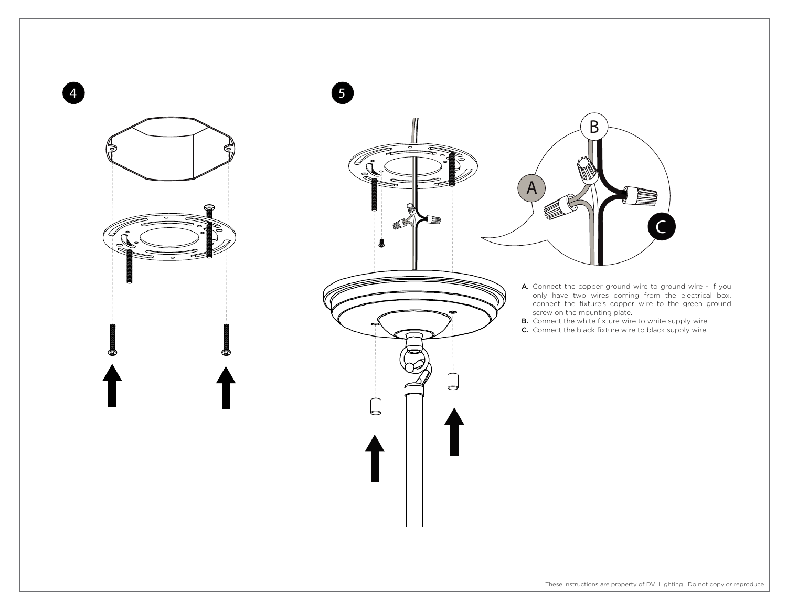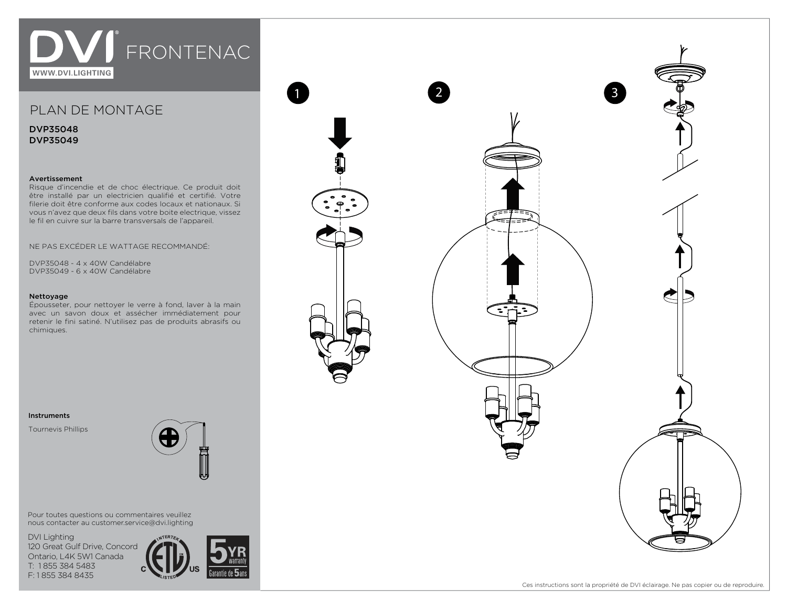# **DVI** FRONTENAC WWW.DVI.LIGHTING

### PLAN DE MONTAGE

DVP35048 DVP35049

### Avertissement

Risque d'incendie et de choc électrique. Ce produit doit être installé par un electricien qualifié et certifié. Votre filerie doit être conforme aux codes locaux et nationaux. Si vous n'avez que deux fils dans votre boite electrique, vissez le fil en cuivre sur la barre transversals de l'appareil.

NE PAS EXCÉDER LE WATTAGE RECOMMANDÉ:

DVP35048 - 4 x 40W Candélabre DVP35049 - 6 x 40W Candélabre

#### Nettoyage

Épousseter, pour nettoyer le verre à fond, laver à la main avec un savon doux et assécher immédiatement pour retenir le fini satiné. N'utilisez pas de produits abrasifs ou chimiques.

Instruments

Tournevis Phillips



Pour toutes questions ou commentaires veuillez nous contacter au customer.service@dvi.lighting

DVI Lighting 120 Great Gulf Drive, Concord Ontario, L4K 5W1 Canada T: 1 855 384 5483 F: 1 855 384 8435